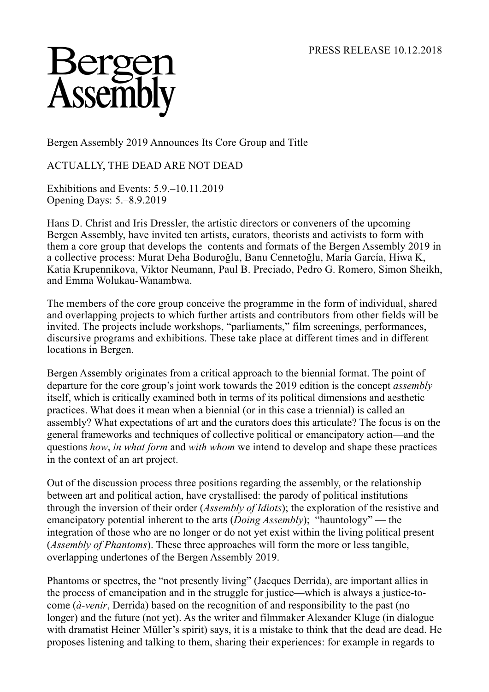

Bergen Assembly 2019 Announces Its Core Group and Title

ACTUALLY, THE DEAD ARE NOT DEAD

Exhibitions and Events: 5.9.–10.11.2019 Opening Days: 5.–8.9.2019

Hans D. Christ and Iris Dressler, the artistic directors or conveners of the upcoming Bergen Assembly, have invited ten artists, curators, theorists and activists to form with them a core group that develops the contents and formats of the Bergen Assembly 2019 in a collective process: Murat Deha Boduroğlu, Banu Cennetoğlu, María García, Hiwa K, Katia Krupennikova, Viktor Neumann, Paul B. Preciado, Pedro G. Romero, Simon Sheikh, and Emma Wolukau-Wanambwa.

The members of the core group conceive the programme in the form of individual, shared and overlapping projects to which further artists and contributors from other fields will be invited. The projects include workshops, "parliaments," film screenings, performances, discursive programs and exhibitions. These take place at different times and in different locations in Bergen.

Bergen Assembly originates from a critical approach to the biennial format. The point of departure for the core group's joint work towards the 2019 edition is the concept *assembly* itself, which is critically examined both in terms of its political dimensions and aesthetic practices. What does it mean when a biennial (or in this case a triennial) is called an assembly? What expectations of art and the curators does this articulate? The focus is on the general frameworks and techniques of collective political or emancipatory action—and the questions *how*, *in what form* and *with whom* we intend to develop and shape these practices in the context of an art project.

Out of the discussion process three positions regarding the assembly, or the relationship between art and political action, have crystallised: the parody of political institutions through the inversion of their order (*Assembly of Idiots*); the exploration of the resistive and emancipatory potential inherent to the arts (*Doing Assembly*); "hauntology" — the integration of those who are no longer or do not yet exist within the living political present (*Assembly of Phantoms*). These three approaches will form the more or less tangible, overlapping undertones of the Bergen Assembly 2019.

Phantoms or spectres, the "not presently living" (Jacques Derrida), are important allies in the process of emancipation and in the struggle for justice—which is always a justice-tocome (*à-venir*, Derrida) based on the recognition of and responsibility to the past (no longer) and the future (not yet). As the writer and filmmaker Alexander Kluge (in dialogue with dramatist Heiner Müller's spirit) says, it is a mistake to think that the dead are dead. He proposes listening and talking to them, sharing their experiences: for example in regards to